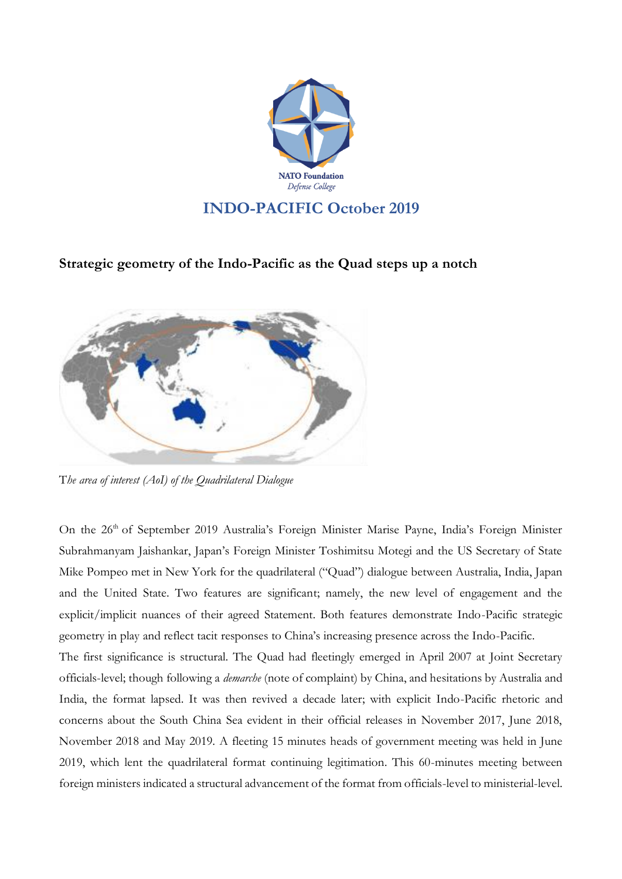

## **Strategic geometry of the Indo-Pacific as the Quad steps up a notch**



T*he area of interest (AoI) of the Quadrilateral Dialogue*

On the 26<sup>th</sup> of September 2019 Australia's Foreign Minister Marise Payne, India's Foreign Minister Subrahmanyam Jaishankar, Japan's Foreign Minister Toshimitsu Motegi and the US Secretary of State Mike Pompeo met in New York for the quadrilateral ("Quad") dialogue between Australia, India, Japan and the United State. Two features are significant; namely, the new level of engagement and the explicit/implicit nuances of their agreed Statement. Both features demonstrate Indo-Pacific strategic geometry in play and reflect tacit responses to China's increasing presence across the Indo-Pacific.

The first significance is structural. The Quad had fleetingly emerged in April 2007 at Joint Secretary officials-level; though following a *demarche* (note of complaint) by China, and hesitations by Australia and India, the format lapsed. It was then revived a decade later; with explicit Indo-Pacific rhetoric and concerns about the South China Sea evident in their official releases in November 2017, June 2018, November 2018 and May 2019. A fleeting 15 minutes heads of government meeting was held in June 2019, which lent the quadrilateral format continuing legitimation. This 60-minutes meeting between foreign ministers indicated a structural advancement of the format from officials-level to ministerial-level.